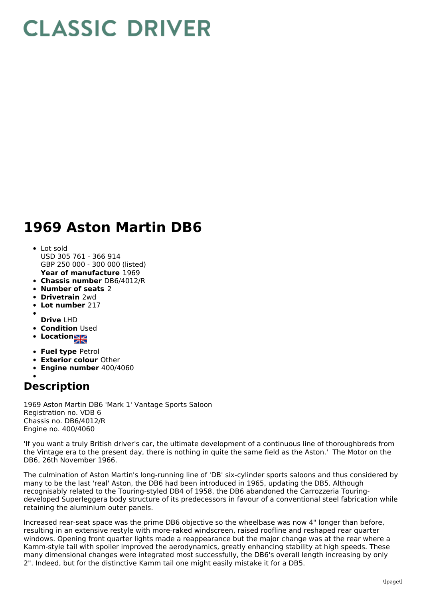## **CLASSIC DRIVER**

## **1969 Aston Martin DB6**

- **Year of manufacture** 1969 Lot sold USD 305 761 - 366 914 GBP 250 000 - 300 000 (listed)
- **Chassis number** DB6/4012/R
- **Number of seats** 2
- **Drivetrain** 2wd
- **Lot number** 217
- 
- **Drive** LHD **• Condition Used**
- 
- **Location**
- **Fuel type** Petrol
- **Exterior colour** Other
- **Engine number** 400/4060

## **Description**

1969 Aston Martin DB6 'Mark 1' Vantage Sports Saloon Registration no. VDB 6 Chassis no. DB6/4012/R Engine no. 400/4060

'If you want a truly British driver's car, the ultimate development of a continuous line of thoroughbreds from the Vintage era to the present day, there is nothing in quite the same field as the Aston.' The Motor on the DB6, 26th November 1966.

The culmination of Aston Martin's long-running line of 'DB' six-cylinder sports saloons and thus considered by many to be the last 'real' Aston, the DB6 had been introduced in 1965, updating the DB5. Although recognisably related to the Touring-styled DB4 of 1958, the DB6 abandoned the Carrozzeria Touringdeveloped Superleggera body structure of its predecessors in favour of a conventional steel fabrication while retaining the aluminium outer panels.

Increased rear-seat space was the prime DB6 objective so the wheelbase was now 4" longer than before, resulting in an extensive restyle with more-raked windscreen, raised roofline and reshaped rear quarter windows. Opening front quarter lights made a reappearance but the major change was at the rear where a Kamm-style tail with spoiler improved the aerodynamics, greatly enhancing stability at high speeds. These many dimensional changes were integrated most successfully, the DB6's overall length increasing by only 2". Indeed, but for the distinctive Kamm tail one might easily mistake it for a DB5.